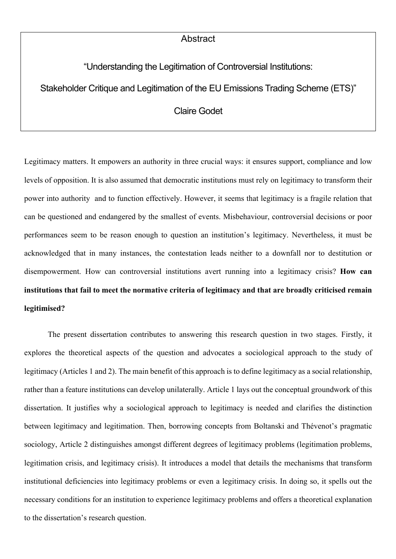## Abstract

"Understanding the Legitimation of Controversial Institutions:

Stakeholder Critique and Legitimation of the EU Emissions Trading Scheme (ETS)"

## Claire Godet

Legitimacy matters. It empowers an authority in three crucial ways: it ensures support, compliance and low levels of opposition. It is also assumed that democratic institutions must rely on legitimacy to transform their power into authority and to function effectively. However, it seems that legitimacy is a fragile relation that can be questioned and endangered by the smallest of events. Misbehaviour, controversial decisions or poor performances seem to be reason enough to question an institution's legitimacy. Nevertheless, it must be acknowledged that in many instances, the contestation leads neither to a downfall nor to destitution or disempowerment. How can controversial institutions avert running into a legitimacy crisis? **How can institutions that fail to meet the normative criteria of legitimacy and that are broadly criticised remain legitimised?**

The present dissertation contributes to answering this research question in two stages. Firstly, it explores the theoretical aspects of the question and advocates a sociological approach to the study of legitimacy (Articles 1 and 2). The main benefit of this approach is to define legitimacy as a social relationship, rather than a feature institutions can develop unilaterally. Article 1 lays out the conceptual groundwork of this dissertation. It justifies why a sociological approach to legitimacy is needed and clarifies the distinction between legitimacy and legitimation. Then, borrowing concepts from Boltanski and Thévenot's pragmatic sociology, Article 2 distinguishes amongst different degrees of legitimacy problems (legitimation problems, legitimation crisis, and legitimacy crisis). It introduces a model that details the mechanisms that transform institutional deficiencies into legitimacy problems or even a legitimacy crisis. In doing so, it spells out the necessary conditions for an institution to experience legitimacy problems and offers a theoretical explanation to the dissertation's research question.